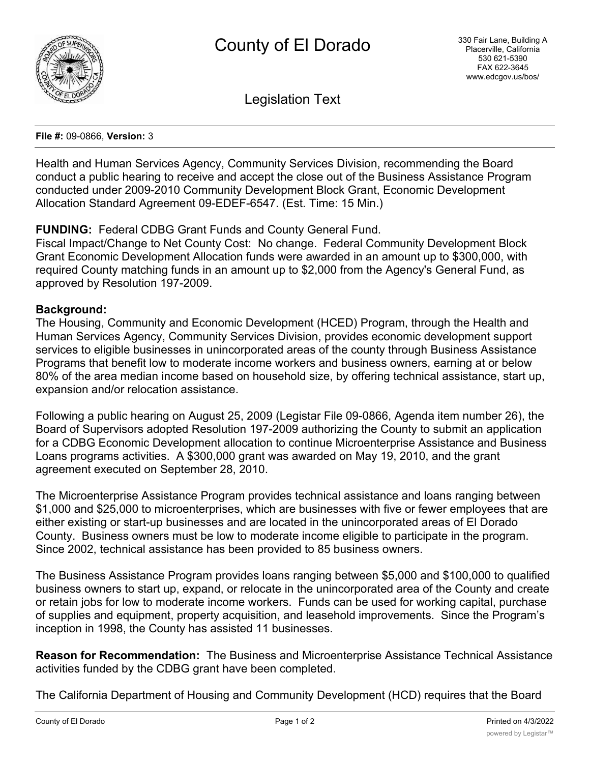

Legislation Text

## **File #:** 09-0866, **Version:** 3

Health and Human Services Agency, Community Services Division, recommending the Board conduct a public hearing to receive and accept the close out of the Business Assistance Program conducted under 2009-2010 Community Development Block Grant, Economic Development Allocation Standard Agreement 09-EDEF-6547. (Est. Time: 15 Min.)

## **FUNDING:** Federal CDBG Grant Funds and County General Fund.

Fiscal Impact/Change to Net County Cost: No change. Federal Community Development Block Grant Economic Development Allocation funds were awarded in an amount up to \$300,000, with required County matching funds in an amount up to \$2,000 from the Agency's General Fund, as approved by Resolution 197-2009.

## **Background:**

The Housing, Community and Economic Development (HCED) Program, through the Health and Human Services Agency, Community Services Division, provides economic development support services to eligible businesses in unincorporated areas of the county through Business Assistance Programs that benefit low to moderate income workers and business owners, earning at or below 80% of the area median income based on household size, by offering technical assistance, start up, expansion and/or relocation assistance.

Following a public hearing on August 25, 2009 (Legistar File 09-0866, Agenda item number 26), the Board of Supervisors adopted Resolution 197-2009 authorizing the County to submit an application for a CDBG Economic Development allocation to continue Microenterprise Assistance and Business Loans programs activities. A \$300,000 grant was awarded on May 19, 2010, and the grant agreement executed on September 28, 2010.

The Microenterprise Assistance Program provides technical assistance and loans ranging between \$1,000 and \$25,000 to microenterprises, which are businesses with five or fewer employees that are either existing or start-up businesses and are located in the unincorporated areas of El Dorado County. Business owners must be low to moderate income eligible to participate in the program. Since 2002, technical assistance has been provided to 85 business owners.

The Business Assistance Program provides loans ranging between \$5,000 and \$100,000 to qualified business owners to start up, expand, or relocate in the unincorporated area of the County and create or retain jobs for low to moderate income workers. Funds can be used for working capital, purchase of supplies and equipment, property acquisition, and leasehold improvements. Since the Program's inception in 1998, the County has assisted 11 businesses.

**Reason for Recommendation:** The Business and Microenterprise Assistance Technical Assistance activities funded by the CDBG grant have been completed.

The California Department of Housing and Community Development (HCD) requires that the Board